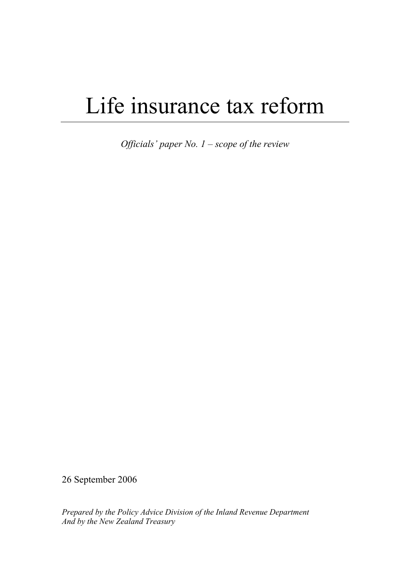# Life insurance tax reform

*Officials' paper No. 1 – scope of the review* 

26 September 2006

*Prepared by the Policy Advice Division of the Inland Revenue Department And by the New Zealand Treasury*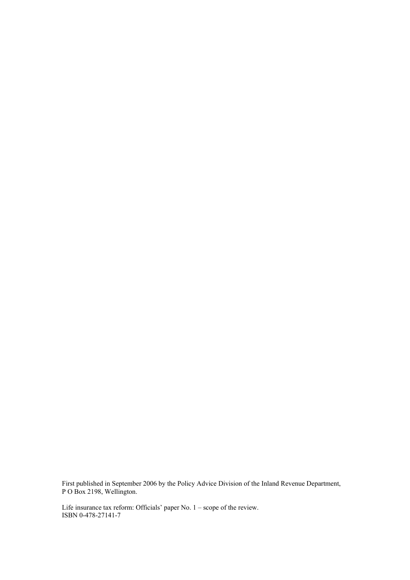First published in September 2006 by the Policy Advice Division of the Inland Revenue Department, P O Box 2198, Wellington.

Life insurance tax reform: Officials' paper No. 1 – scope of the review. ISBN 0-478-27141-7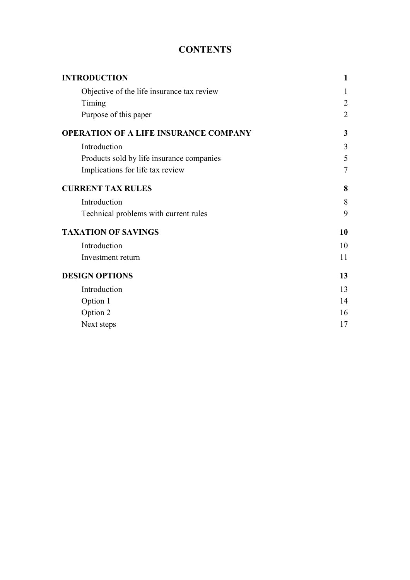# **CONTENTS**

| <b>INTRODUCTION</b>                          | 1              |
|----------------------------------------------|----------------|
| Objective of the life insurance tax review   |                |
| Timing                                       | $\overline{2}$ |
| Purpose of this paper                        | $\overline{2}$ |
| <b>OPERATION OF A LIFE INSURANCE COMPANY</b> | 3              |
| Introduction                                 | 3              |
| Products sold by life insurance companies    | 5              |
| Implications for life tax review             | $\overline{7}$ |
| <b>CURRENT TAX RULES</b>                     | 8              |
| Introduction                                 | 8              |
| Technical problems with current rules        | 9              |
| <b>TAXATION OF SAVINGS</b>                   | 10             |
| Introduction                                 | 10             |
| Investment return                            | 11             |
| <b>DESIGN OPTIONS</b>                        | 13             |
| Introduction                                 | 13             |
| Option 1                                     | 14             |
| Option 2                                     | 16             |
| Next steps                                   | 17             |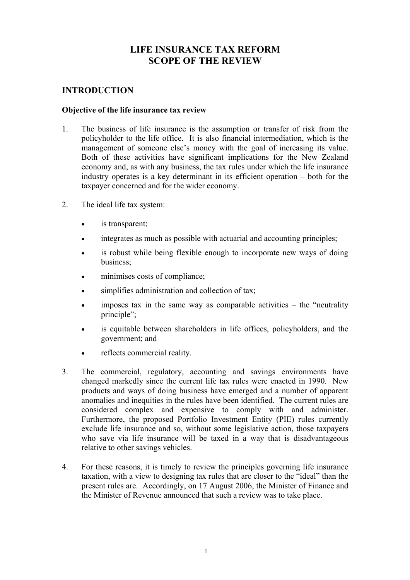# **LIFE INSURANCE TAX REFORM SCOPE OF THE REVIEW**

# <span id="page-3-0"></span>**INTRODUCTION**

#### **Objective of the life insurance tax review**

- 1. The business of life insurance is the assumption or transfer of risk from the policyholder to the life office. It is also financial intermediation, which is the management of someone else's money with the goal of increasing its value. Both of these activities have significant implications for the New Zealand economy and, as with any business, the tax rules under which the life insurance industry operates is a key determinant in its efficient operation – both for the taxpayer concerned and for the wider economy.
- 2. The ideal life tax system:
	- is transparent;
	- integrates as much as possible with actuarial and accounting principles:
	- is robust while being flexible enough to incorporate new ways of doing business;
	- minimises costs of compliance;
	- simplifies administration and collection of tax;
	- $imposes$  tax in the same way as comparable activities  $-$  the "neutrality" principle":
	- is equitable between shareholders in life offices, policyholders, and the government; and
	- reflects commercial reality.
- 3. The commercial, regulatory, accounting and savings environments have changed markedly since the current life tax rules were enacted in 1990. New products and ways of doing business have emerged and a number of apparent anomalies and inequities in the rules have been identified. The current rules are considered complex and expensive to comply with and administer. Furthermore, the proposed Portfolio Investment Entity (PIE) rules currently exclude life insurance and so, without some legislative action, those taxpayers who save via life insurance will be taxed in a way that is disadvantageous relative to other savings vehicles.
- 4. For these reasons, it is timely to review the principles governing life insurance taxation, with a view to designing tax rules that are closer to the "ideal" than the present rules are. Accordingly, on 17 August 2006, the Minister of Finance and the Minister of Revenue announced that such a review was to take place.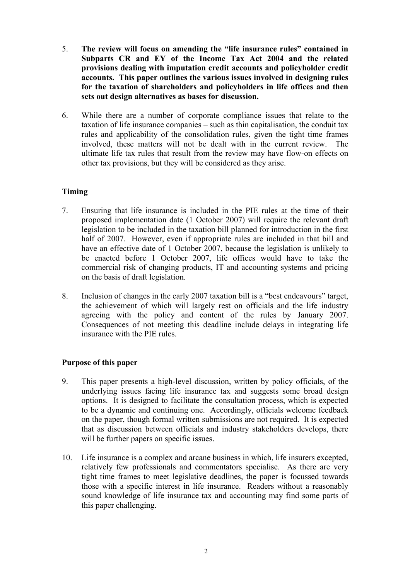- <span id="page-4-0"></span>5. **The review will focus on amending the "life insurance rules" contained in Subparts CR and EY of the Income Tax Act 2004 and the related provisions dealing with imputation credit accounts and policyholder credit accounts. This paper outlines the various issues involved in designing rules for the taxation of shareholders and policyholders in life offices and then sets out design alternatives as bases for discussion.**
- 6. While there are a number of corporate compliance issues that relate to the taxation of life insurance companies – such as thin capitalisation, the conduit tax rules and applicability of the consolidation rules, given the tight time frames involved, these matters will not be dealt with in the current review. The ultimate life tax rules that result from the review may have flow-on effects on other tax provisions, but they will be considered as they arise.

# **Timing**

- 7. Ensuring that life insurance is included in the PIE rules at the time of their proposed implementation date (1 October 2007) will require the relevant draft legislation to be included in the taxation bill planned for introduction in the first half of 2007. However, even if appropriate rules are included in that bill and have an effective date of 1 October 2007, because the legislation is unlikely to be enacted before 1 October 2007, life offices would have to take the commercial risk of changing products, IT and accounting systems and pricing on the basis of draft legislation.
- 8. Inclusion of changes in the early 2007 taxation bill is a "best endeavours" target, the achievement of which will largely rest on officials and the life industry agreeing with the policy and content of the rules by January 2007. Consequences of not meeting this deadline include delays in integrating life insurance with the PIE rules.

# **Purpose of this paper**

- 9. This paper presents a high-level discussion, written by policy officials, of the underlying issues facing life insurance tax and suggests some broad design options. It is designed to facilitate the consultation process, which is expected to be a dynamic and continuing one. Accordingly, officials welcome feedback on the paper, though formal written submissions are not required. It is expected that as discussion between officials and industry stakeholders develops, there will be further papers on specific issues.
- 10. Life insurance is a complex and arcane business in which, life insurers excepted, relatively few professionals and commentators specialise. As there are very tight time frames to meet legislative deadlines, the paper is focussed towards those with a specific interest in life insurance. Readers without a reasonably sound knowledge of life insurance tax and accounting may find some parts of this paper challenging.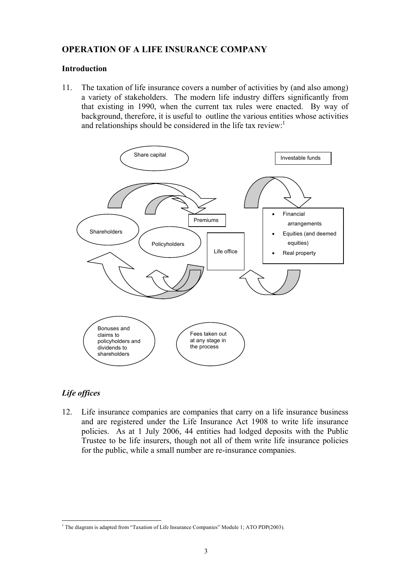# <span id="page-5-0"></span>**OPERATION OF A LIFE INSURANCE COMPANY**

#### **Introduction**

11. The taxation of life insurance covers a number of activities by (and also among) a variety of stakeholders. The modern life industry differs significantly from that existing in 1990, when the current tax rules were enacted. By way of background, therefore, it is useful to outline the various entities whose activities and relationships should be considered in the life tax review:<sup>1</sup>



# *Life offices*

12. Life insurance companies are companies that carry on a life insurance business and are registered under the Life Insurance Act 1908 to write life insurance policies. As at 1 July 2006, 44 entities had lodged deposits with the Public Trustee to be life insurers, though not all of them write life insurance policies for the public, while a small number are re-insurance companies.

<sup>&</sup>lt;sup>1</sup> The diagram is adapted from "Taxation of Life Insurance Companies" Module 1; ATO PDP(2003).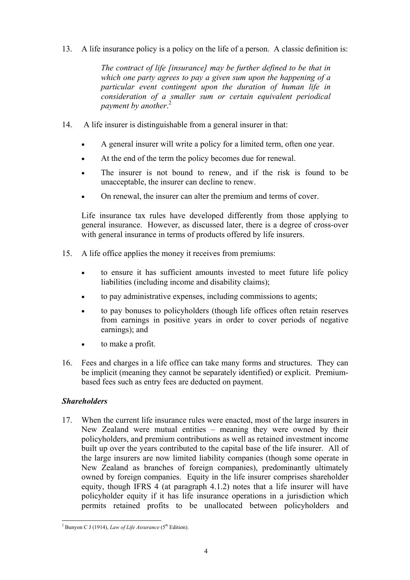13. A life insurance policy is a policy on the life of a person. A classic definition is:

*The contract of life [insurance] may be further defined to be that in which one party agrees to pay a given sum upon the happening of a particular event contingent upon the duration of human life in consideration of a smaller sum or certain equivalent periodical payment by another*. 2

- 14. A life insurer is distinguishable from a general insurer in that:
	- A general insurer will write a policy for a limited term, often one year.
	- At the end of the term the policy becomes due for renewal.
	- The insurer is not bound to renew, and if the risk is found to be unacceptable, the insurer can decline to renew.
	- On renewal, the insurer can alter the premium and terms of cover.

Life insurance tax rules have developed differently from those applying to general insurance. However, as discussed later, there is a degree of cross-over with general insurance in terms of products offered by life insurers.

- 15. A life office applies the money it receives from premiums:
	- to ensure it has sufficient amounts invested to meet future life policy liabilities (including income and disability claims);
	- to pay administrative expenses, including commissions to agents;
	- to pay bonuses to policyholders (though life offices often retain reserves from earnings in positive years in order to cover periods of negative earnings); and
	- to make a profit.
- 16. Fees and charges in a life office can take many forms and structures. They can be implicit (meaning they cannot be separately identified) or explicit. Premiumbased fees such as entry fees are deducted on payment.

# *Shareholders*

17. When the current life insurance rules were enacted, most of the large insurers in New Zealand were mutual entities – meaning they were owned by their policyholders, and premium contributions as well as retained investment income built up over the years contributed to the capital base of the life insurer. All of the large insurers are now limited liability companies (though some operate in New Zealand as branches of foreign companies), predominantly ultimately owned by foreign companies. Equity in the life insurer comprises shareholder equity, though IFRS 4 (at paragraph 4.1.2) notes that a life insurer will have policyholder equity if it has life insurance operations in a jurisdiction which permits retained profits to be unallocated between policyholders and

<sup>&</sup>lt;sup>2</sup> Bunyon C J (1914), *Law of Life Assurance* (5<sup>th</sup> Edition).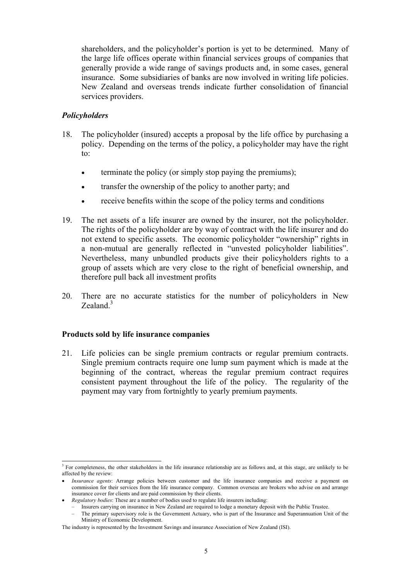<span id="page-7-0"></span>shareholders, and the policyholder's portion is yet to be determined. Many of the large life offices operate within financial services groups of companies that generally provide a wide range of savings products and, in some cases, general insurance. Some subsidiaries of banks are now involved in writing life policies. New Zealand and overseas trends indicate further consolidation of financial services providers.

#### *Policyholders*

- 18. The policyholder (insured) accepts a proposal by the life office by purchasing a policy. Depending on the terms of the policy, a policyholder may have the right to:
	- terminate the policy (or simply stop paying the premiums);
	- transfer the ownership of the policy to another party; and
	- receive benefits within the scope of the policy terms and conditions
- 19. The net assets of a life insurer are owned by the insurer, not the policyholder. The rights of the policyholder are by way of contract with the life insurer and do not extend to specific assets. The economic policyholder "ownership" rights in a non-mutual are generally reflected in "unvested policyholder liabilities". Nevertheless, many unbundled products give their policyholders rights to a group of assets which are very close to the right of beneficial ownership, and therefore pull back all investment profits
- 20. There are no accurate statistics for the number of policyholders in New Zealand. $3$

#### **Products sold by life insurance companies**

21. Life policies can be single premium contracts or regular premium contracts. Single premium contracts require one lump sum payment which is made at the beginning of the contract, whereas the regular premium contract requires consistent payment throughout the life of the policy. The regularity of the payment may vary from fortnightly to yearly premium payments.

l <sup>3</sup> For completeness, the other stakeholders in the life insurance relationship are as follows and, at this stage, are unlikely to be affected by the review:

<sup>•</sup> *Insurance agents*: Arrange policies between customer and the life insurance companies and receive a payment on commission for their services from the life insurance company. Common overseas are brokers who advise on and arrange insurance cover for clients and are paid commission by their clients.

<sup>•</sup> *Regulatory bodies*: These are a number of bodies used to regulate life insurers including:

<sup>–</sup> Insurers carrying on insurance in New Zealand are required to lodge a monetary deposit with the Public Trustee.

<sup>–</sup> The primary supervisory role is the Government Actuary, who is part of the Insurance and Superannuation Unit of the Ministry of Economic Development.

The industry is represented by the Investment Savings and insurance Association of New Zealand (ISI).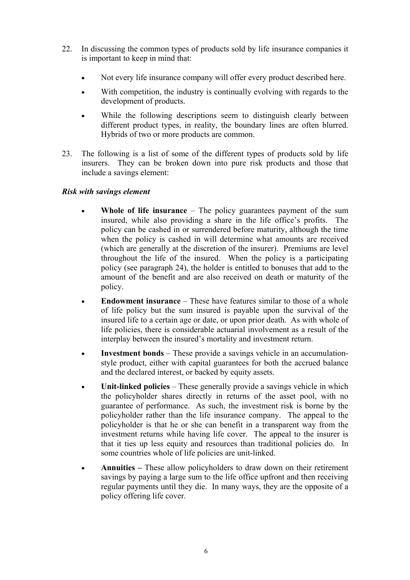- 22. In discussing the common types of products sold by life insurance companies it is important to keep in mind that:
	- Not every life insurance company will offer every product described here.
	- With competition, the industry is continually evolving with regards to the development of products.
	- While the following descriptions seem to distinguish clearly between different product types, in reality, the boundary lines are often blurred. Hybrids of two or more products are common.
- 23. The following is a list of some of the different types of products sold by life insurers. They can be broken down into pure risk products and those that include a savings element:

#### *Risk with savings element*

- **Whole of life insurance** The policy guarantees payment of the sum insured, while also providing a share in the life office's profits. The policy can be cashed in or surrendered before maturity, although the time when the policy is cashed in will determine what amounts are received (which are generally at the discretion of the insurer). Premiums are level throughout the life of the insured. When the policy is a participating policy (see paragraph 24), the holder is entitled to bonuses that add to the amount of the benefit and are also received on death or maturity of the policy.
- **Endowment insurance** These have features similar to those of a whole of life policy but the sum insured is payable upon the survival of the insured life to a certain age or date, or upon prior death. As with whole of life policies, there is considerable actuarial involvement as a result of the interplay between the insured's mortality and investment return.
- **Investment bonds** These provide a savings vehicle in an accumulationstyle product, either with capital guarantees for both the accrued balance and the declared interest, or backed by equity assets.
- **Unit-linked policies** These generally provide a savings vehicle in which the policyholder shares directly in returns of the asset pool, with no guarantee of performance. As such, the investment risk is borne by the policyholder rather than the life insurance company. The appeal to the policyholder is that he or she can benefit in a transparent way from the investment returns while having life cover. The appeal to the insurer is that it ties up less equity and resources than traditional policies do. In some countries whole of life policies are unit-linked.
- **Annuities –** These allow policyholders to draw down on their retirement savings by paying a large sum to the life office upfront and then receiving regular payments until they die. In many ways, they are the opposite of a policy offering life cover.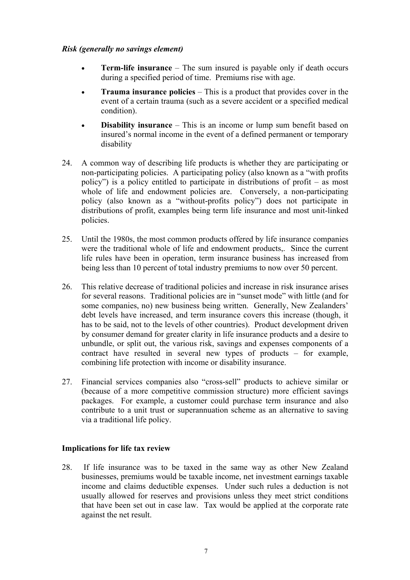#### <span id="page-9-0"></span>*Risk (generally no savings element)*

- **Term-life insurance** The sum insured is payable only if death occurs during a specified period of time. Premiums rise with age.
- **Trauma insurance policies** This is a product that provides cover in the event of a certain trauma (such as a severe accident or a specified medical condition).
- **Disability insurance** This is an income or lump sum benefit based on insured's normal income in the event of a defined permanent or temporary disability
- 24. A common way of describing life products is whether they are participating or non-participating policies. A participating policy (also known as a "with profits policy") is a policy entitled to participate in distributions of profit – as most whole of life and endowment policies are. Conversely, a non-participating policy (also known as a "without-profits policy") does not participate in distributions of profit, examples being term life insurance and most unit-linked policies.
- 25. Until the 1980s, the most common products offered by life insurance companies were the traditional whole of life and endowment products,. Since the current life rules have been in operation, term insurance business has increased from being less than 10 percent of total industry premiums to now over 50 percent.
- 26. This relative decrease of traditional policies and increase in risk insurance arises for several reasons. Traditional policies are in "sunset mode" with little (and for some companies, no) new business being written. Generally, New Zealanders' debt levels have increased, and term insurance covers this increase (though, it has to be said, not to the levels of other countries). Product development driven by consumer demand for greater clarity in life insurance products and a desire to unbundle, or split out, the various risk, savings and expenses components of a contract have resulted in several new types of products – for example, combining life protection with income or disability insurance.
- 27. Financial services companies also "cross-sell" products to achieve similar or (because of a more competitive commission structure) more efficient savings packages. For example, a customer could purchase term insurance and also contribute to a unit trust or superannuation scheme as an alternative to saving via a traditional life policy.

# **Implications for life tax review**

28. If life insurance was to be taxed in the same way as other New Zealand businesses, premiums would be taxable income, net investment earnings taxable income and claims deductible expenses. Under such rules a deduction is not usually allowed for reserves and provisions unless they meet strict conditions that have been set out in case law. Tax would be applied at the corporate rate against the net result.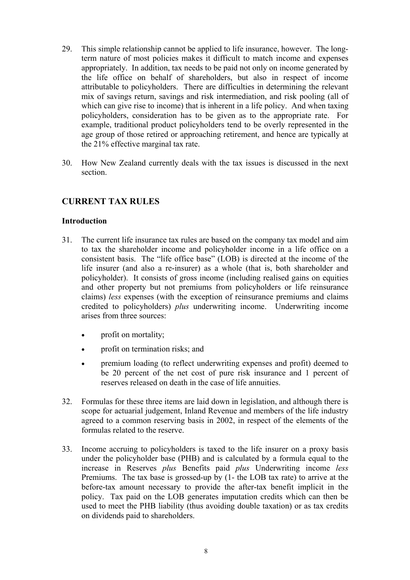- <span id="page-10-0"></span>29. This simple relationship cannot be applied to life insurance, however. The longterm nature of most policies makes it difficult to match income and expenses appropriately. In addition, tax needs to be paid not only on income generated by the life office on behalf of shareholders, but also in respect of income attributable to policyholders. There are difficulties in determining the relevant mix of savings return, savings and risk intermediation, and risk pooling (all of which can give rise to income) that is inherent in a life policy. And when taxing policyholders, consideration has to be given as to the appropriate rate. For example, traditional product policyholders tend to be overly represented in the age group of those retired or approaching retirement, and hence are typically at the 21% effective marginal tax rate.
- 30. How New Zealand currently deals with the tax issues is discussed in the next section.

# **CURRENT TAX RULES**

#### **Introduction**

- 31. The current life insurance tax rules are based on the company tax model and aim to tax the shareholder income and policyholder income in a life office on a consistent basis. The "life office base" (LOB) is directed at the income of the life insurer (and also a re-insurer) as a whole (that is, both shareholder and policyholder). It consists of gross income (including realised gains on equities and other property but not premiums from policyholders or life reinsurance claims) *less* expenses (with the exception of reinsurance premiums and claims credited to policyholders) *plus* underwriting income. Underwriting income arises from three sources:
	- profit on mortality;
	- profit on termination risks; and
	- premium loading (to reflect underwriting expenses and profit) deemed to be 20 percent of the net cost of pure risk insurance and 1 percent of reserves released on death in the case of life annuities.
- 32. Formulas for these three items are laid down in legislation, and although there is scope for actuarial judgement, Inland Revenue and members of the life industry agreed to a common reserving basis in 2002, in respect of the elements of the formulas related to the reserve.
- 33. Income accruing to policyholders is taxed to the life insurer on a proxy basis under the policyholder base (PHB) and is calculated by a formula equal to the increase in Reserves *plus* Benefits paid *plus* Underwriting income *less*  Premiums. The tax base is grossed-up by (1- the LOB tax rate) to arrive at the before-tax amount necessary to provide the after-tax benefit implicit in the policy. Tax paid on the LOB generates imputation credits which can then be used to meet the PHB liability (thus avoiding double taxation) or as tax credits on dividends paid to shareholders.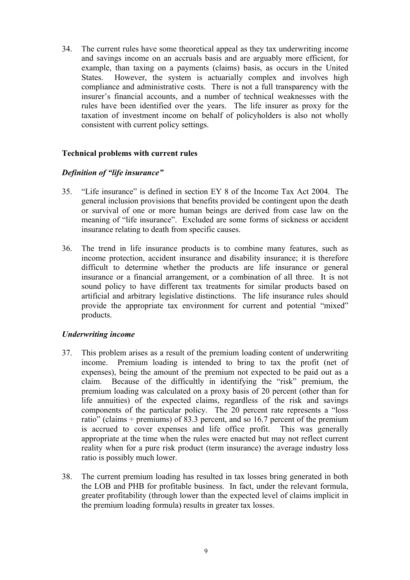<span id="page-11-0"></span>34. The current rules have some theoretical appeal as they tax underwriting income and savings income on an accruals basis and are arguably more efficient, for example, than taxing on a payments (claims) basis, as occurs in the United States. However, the system is actuarially complex and involves high compliance and administrative costs. There is not a full transparency with the insurer's financial accounts, and a number of technical weaknesses with the rules have been identified over the years. The life insurer as proxy for the taxation of investment income on behalf of policyholders is also not wholly consistent with current policy settings.

#### **Technical problems with current rules**

#### *Definition of "life insurance"*

- 35. "Life insurance" is defined in section EY 8 of the Income Tax Act 2004. The general inclusion provisions that benefits provided be contingent upon the death or survival of one or more human beings are derived from case law on the meaning of "life insurance". Excluded are some forms of sickness or accident insurance relating to death from specific causes.
- 36. The trend in life insurance products is to combine many features, such as income protection, accident insurance and disability insurance; it is therefore difficult to determine whether the products are life insurance or general insurance or a financial arrangement, or a combination of all three. It is not sound policy to have different tax treatments for similar products based on artificial and arbitrary legislative distinctions. The life insurance rules should provide the appropriate tax environment for current and potential "mixed" products.

#### *Underwriting income*

- 37. This problem arises as a result of the premium loading content of underwriting income. Premium loading is intended to bring to tax the profit (net of expenses), being the amount of the premium not expected to be paid out as a claim. Because of the difficultly in identifying the "risk" premium, the premium loading was calculated on a proxy basis of 20 percent (other than for life annuities) of the expected claims, regardless of the risk and savings components of the particular policy. The 20 percent rate represents a "loss ratio" (claims  $\div$  premiums) of 83.3 percent, and so 16.7 percent of the premium is accrued to cover expenses and life office profit. This was generally appropriate at the time when the rules were enacted but may not reflect current reality when for a pure risk product (term insurance) the average industry loss ratio is possibly much lower.
- 38. The current premium loading has resulted in tax losses bring generated in both the LOB and PHB for profitable business. In fact, under the relevant formula, greater profitability (through lower than the expected level of claims implicit in the premium loading formula) results in greater tax losses.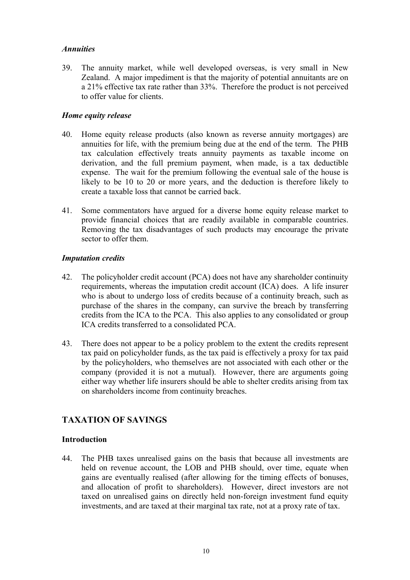# <span id="page-12-0"></span>*Annuities*

39. The annuity market, while well developed overseas, is very small in New Zealand. A major impediment is that the majority of potential annuitants are on a 21% effective tax rate rather than 33%. Therefore the product is not perceived to offer value for clients.

# *Home equity release*

- 40. Home equity release products (also known as reverse annuity mortgages) are annuities for life, with the premium being due at the end of the term. The PHB tax calculation effectively treats annuity payments as taxable income on derivation, and the full premium payment, when made, is a tax deductible expense. The wait for the premium following the eventual sale of the house is likely to be 10 to 20 or more years, and the deduction is therefore likely to create a taxable loss that cannot be carried back.
- 41. Some commentators have argued for a diverse home equity release market to provide financial choices that are readily available in comparable countries. Removing the tax disadvantages of such products may encourage the private sector to offer them.

#### *Imputation credits*

- 42. The policyholder credit account (PCA) does not have any shareholder continuity requirements, whereas the imputation credit account (ICA) does. A life insurer who is about to undergo loss of credits because of a continuity breach, such as purchase of the shares in the company, can survive the breach by transferring credits from the ICA to the PCA. This also applies to any consolidated or group ICA credits transferred to a consolidated PCA.
- 43. There does not appear to be a policy problem to the extent the credits represent tax paid on policyholder funds, as the tax paid is effectively a proxy for tax paid by the policyholders, who themselves are not associated with each other or the company (provided it is not a mutual). However, there are arguments going either way whether life insurers should be able to shelter credits arising from tax on shareholders income from continuity breaches.

# **TAXATION OF SAVINGS**

# **Introduction**

44. The PHB taxes unrealised gains on the basis that because all investments are held on revenue account, the LOB and PHB should, over time, equate when gains are eventually realised (after allowing for the timing effects of bonuses, and allocation of profit to shareholders). However, direct investors are not taxed on unrealised gains on directly held non-foreign investment fund equity investments, and are taxed at their marginal tax rate, not at a proxy rate of tax.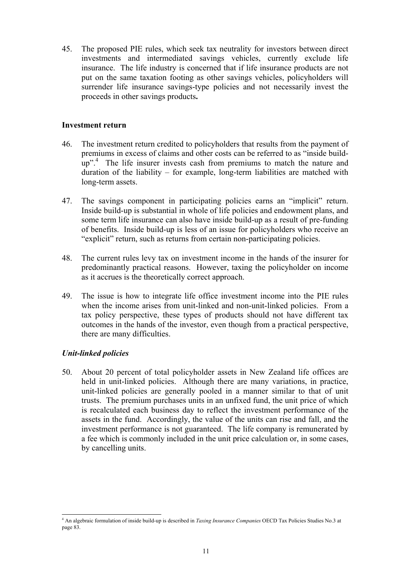<span id="page-13-0"></span>45. The proposed PIE rules, which seek tax neutrality for investors between direct investments and intermediated savings vehicles, currently exclude life insurance. The life industry is concerned that if life insurance products are not put on the same taxation footing as other savings vehicles, policyholders will surrender life insurance savings-type policies and not necessarily invest the proceeds in other savings products**.** 

#### **Investment return**

- 46. The investment return credited to policyholders that results from the payment of premiums in excess of claims and other costs can be referred to as "inside buildup".<sup>4</sup> The life insurer invests cash from premiums to match the nature and duration of the liability – for example, long-term liabilities are matched with long-term assets.
- 47. The savings component in participating policies earns an "implicit" return. Inside build-up is substantial in whole of life policies and endowment plans, and some term life insurance can also have inside build-up as a result of pre-funding of benefits. Inside build-up is less of an issue for policyholders who receive an "explicit" return, such as returns from certain non-participating policies.
- 48. The current rules levy tax on investment income in the hands of the insurer for predominantly practical reasons. However, taxing the policyholder on income as it accrues is the theoretically correct approach.
- 49. The issue is how to integrate life office investment income into the PIE rules when the income arises from unit-linked and non-unit-linked policies. From a tax policy perspective, these types of products should not have different tax outcomes in the hands of the investor, even though from a practical perspective, there are many difficulties.

#### *Unit-linked policies*

50. About 20 percent of total policyholder assets in New Zealand life offices are held in unit-linked policies. Although there are many variations, in practice, unit-linked policies are generally pooled in a manner similar to that of unit trusts. The premium purchases units in an unfixed fund, the unit price of which is recalculated each business day to reflect the investment performance of the assets in the fund. Accordingly, the value of the units can rise and fall, and the investment performance is not guaranteed. The life company is remunerated by a fee which is commonly included in the unit price calculation or, in some cases, by cancelling units.

 4 An algebraic formulation of inside build-up is described in *Taxing Insurance Companies* OECD Tax Policies Studies No.3 at page 83.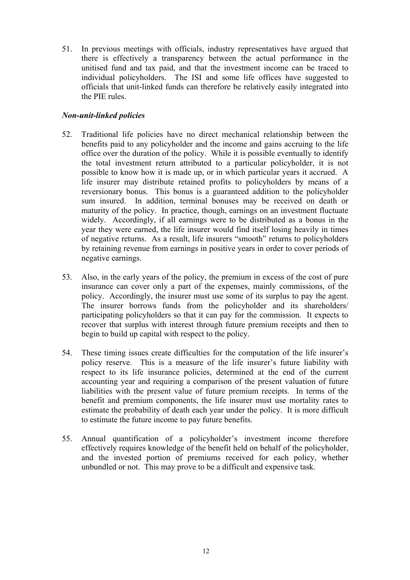51. In previous meetings with officials, industry representatives have argued that there is effectively a transparency between the actual performance in the unitised fund and tax paid, and that the investment income can be traced to individual policyholders. The ISI and some life offices have suggested to officials that unit-linked funds can therefore be relatively easily integrated into the PIE rules.

# *Non-unit-linked policies*

- 52. Traditional life policies have no direct mechanical relationship between the benefits paid to any policyholder and the income and gains accruing to the life office over the duration of the policy. While it is possible eventually to identify the total investment return attributed to a particular policyholder, it is not possible to know how it is made up, or in which particular years it accrued. A life insurer may distribute retained profits to policyholders by means of a reversionary bonus. This bonus is a guaranteed addition to the policyholder sum insured. In addition, terminal bonuses may be received on death or maturity of the policy. In practice, though, earnings on an investment fluctuate widely. Accordingly, if all earnings were to be distributed as a bonus in the year they were earned, the life insurer would find itself losing heavily in times of negative returns. As a result, life insurers "smooth" returns to policyholders by retaining revenue from earnings in positive years in order to cover periods of negative earnings.
- 53. Also, in the early years of the policy, the premium in excess of the cost of pure insurance can cover only a part of the expenses, mainly commissions, of the policy. Accordingly, the insurer must use some of its surplus to pay the agent. The insurer borrows funds from the policyholder and its shareholders/ participating policyholders so that it can pay for the commission. It expects to recover that surplus with interest through future premium receipts and then to begin to build up capital with respect to the policy.
- 54. These timing issues create difficulties for the computation of the life insurer's policy reserve. This is a measure of the life insurer's future liability with respect to its life insurance policies, determined at the end of the current accounting year and requiring a comparison of the present valuation of future liabilities with the present value of future premium receipts. In terms of the benefit and premium components, the life insurer must use mortality rates to estimate the probability of death each year under the policy. It is more difficult to estimate the future income to pay future benefits.
- 55. Annual quantification of a policyholder's investment income therefore effectively requires knowledge of the benefit held on behalf of the policyholder, and the invested portion of premiums received for each policy, whether unbundled or not. This may prove to be a difficult and expensive task.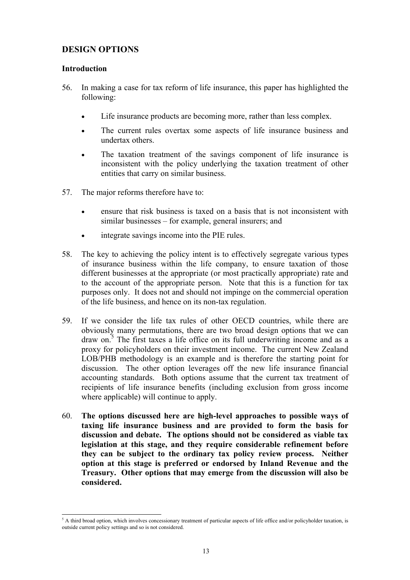# <span id="page-15-0"></span>**DESIGN OPTIONS**

#### **Introduction**

- 56. In making a case for tax reform of life insurance, this paper has highlighted the following:
	- Life insurance products are becoming more, rather than less complex.
	- The current rules overtax some aspects of life insurance business and undertax others.
	- The taxation treatment of the savings component of life insurance is inconsistent with the policy underlying the taxation treatment of other entities that carry on similar business.
- 57. The major reforms therefore have to:
	- ensure that risk business is taxed on a basis that is not inconsistent with similar businesses – for example, general insurers; and
	- integrate savings income into the PIE rules.
- 58. The key to achieving the policy intent is to effectively segregate various types of insurance business within the life company, to ensure taxation of those different businesses at the appropriate (or most practically appropriate) rate and to the account of the appropriate person. Note that this is a function for tax purposes only. It does not and should not impinge on the commercial operation of the life business, and hence on its non-tax regulation.
- 59. If we consider the life tax rules of other OECD countries, while there are obviously many permutations, there are two broad design options that we can draw on.<sup>5</sup> The first taxes a life office on its full underwriting income and as a proxy for policyholders on their investment income. The current New Zealand LOB/PHB methodology is an example and is therefore the starting point for discussion. The other option leverages off the new life insurance financial accounting standards. Both options assume that the current tax treatment of recipients of life insurance benefits (including exclusion from gross income where applicable) will continue to apply.
- 60. **The options discussed here are high-level approaches to possible ways of taxing life insurance business and are provided to form the basis for discussion and debate. The options should not be considered as viable tax legislation at this stage, and they require considerable refinement before they can be subject to the ordinary tax policy review process. Neither option at this stage is preferred or endorsed by Inland Revenue and the Treasury. Other options that may emerge from the discussion will also be considered.**

<sup>&</sup>lt;sup>5</sup> A third broad option, which involves concessionary treatment of particular aspects of life office and/or policyholder taxation, is outside current policy settings and so is not considered.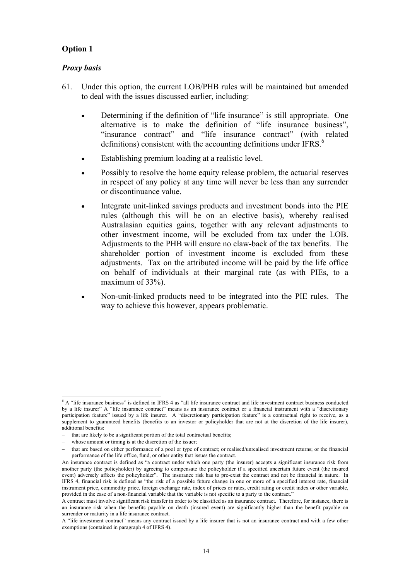# <span id="page-16-0"></span>**Option 1**

#### *Proxy basis*

- 61. Under this option, the current LOB/PHB rules will be maintained but amended to deal with the issues discussed earlier, including:
	- Determining if the definition of "life insurance" is still appropriate. One alternative is to make the definition of "life insurance business", "insurance contract" and "life insurance contract" (with related definitions) consistent with the accounting definitions under IFRS.<sup>6</sup>
	- Establishing premium loading at a realistic level.
	- Possibly to resolve the home equity release problem, the actuarial reserves in respect of any policy at any time will never be less than any surrender or discontinuance value.
	- Integrate unit-linked savings products and investment bonds into the PIE rules (although this will be on an elective basis), whereby realised Australasian equities gains, together with any relevant adjustments to other investment income, will be excluded from tax under the LOB. Adjustments to the PHB will ensure no claw-back of the tax benefits. The shareholder portion of investment income is excluded from these adjustments. Tax on the attributed income will be paid by the life office on behalf of individuals at their marginal rate (as with PIEs, to a maximum of 33%).
	- Non-unit-linked products need to be integrated into the PIE rules. The way to achieve this however, appears problematic.

 6 A "life insurance business" is defined in IFRS 4 as "all life insurance contract and life investment contract business conducted by a life insurer" A "life insurance contract" means as an insurance contract or a financial instrument with a "discretionary participation feature" issued by a life insurer. A "discretionary participation feature" is a contractual right to receive, as a supplement to guaranteed benefits (benefits to an investor or policyholder that are not at the discretion of the life insurer), additional benefits:

<sup>–</sup> that are likely to be a significant portion of the total contractual benefits;

<sup>–</sup> whose amount or timing is at the discretion of the issuer;

<sup>–</sup> that are based on either performance of a pool or type of contract; or realised/unrealised investment returns; or the financial performance of the life office, fund, or other entity that issues the contract.

An insurance contract is defined as "a contract under which one party (the insurer) accepts a significant insurance risk from another party (the policyholder) by agreeing to compensate the policyholder if a specified uncertain future event (the insured event) adversely affects the policyholder". The insurance risk has to pre-exist the contract and not be financial in nature. In IFRS 4, financial risk is defined as "the risk of a possible future change in one or more of a specified interest rate, financial instrument price, commodity price, foreign exchange rate, index of prices or rates, credit rating or credit index or other variable, provided in the case of a non-financial variable that the variable is not specific to a party to the contract."

A contract must involve significant risk transfer in order to be classified as an insurance contract. Therefore, for instance, there is an insurance risk when the benefits payable on death (insured event) are significantly higher than the benefit payable on surrender or maturity in a life insurance contract.

A "life investment contract" means any contract issued by a life insurer that is not an insurance contract and with a few other exemptions (contained in paragraph 4 of IFRS 4).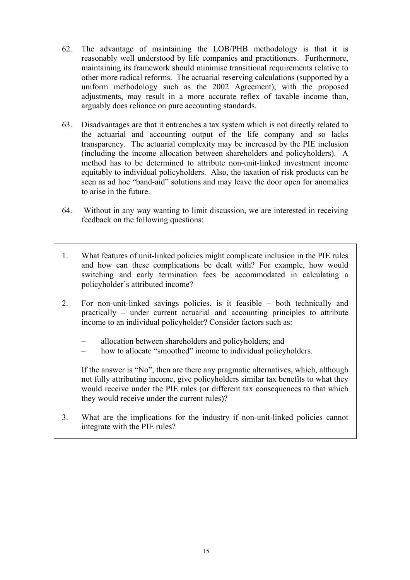- 62. The advantage of maintaining the LOB/PHB methodology is that it is reasonably well understood by life companies and practitioners. Furthermore, maintaining its framework should minimise transitional requirements relative to other more radical reforms. The actuarial reserving calculations (supported by a uniform methodology such as the 2002 Agreement), with the proposed adjustments, may result in a more accurate reflex of taxable income than, arguably does reliance on pure accounting standards.
- 63. Disadvantages are that it entrenches a tax system which is not directly related to the actuarial and accounting output of the life company and so lacks transparency. The actuarial complexity may be increased by the PIE inclusion (including the income allocation between shareholders and policyholders). A method has to be determined to attribute non-unit-linked investment income equitably to individual policyholders. Also, the taxation of risk products can be seen as ad hoc "band-aid" solutions and may leave the door open for anomalies to arise in the future.
- 64. Without in any way wanting to limit discussion, we are interested in receiving feedback on the following questions:
- 1. What features of unit-linked policies might complicate inclusion in the PIE rules and how can these complications be dealt with? For example, how would switching and early termination fees be accommodated in calculating a policyholder's attributed income?
- 2. For non-unit-linked savings policies, is it feasible both technically and practically – under current actuarial and accounting principles to attribute income to an individual policyholder? Consider factors such as:
	- allocation between shareholders and policyholders; and
	- how to allocate "smoothed" income to individual policyholders.

 If the answer is "No", then are there any pragmatic alternatives, which, although not fully attributing income, give policyholders similar tax benefits to what they would receive under the PIE rules (or different tax consequences to that which they would receive under the current rules)?

3. What are the implications for the industry if non-unit-linked policies cannot integrate with the PIE rules?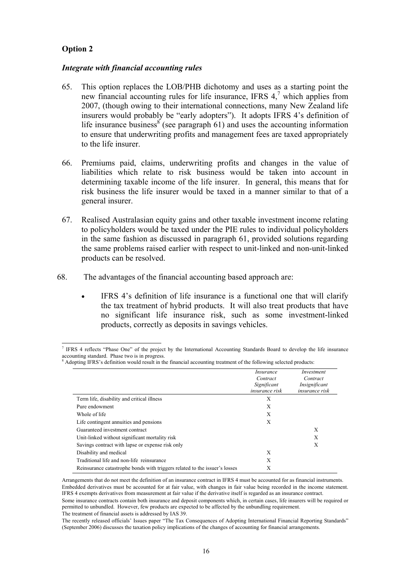# <span id="page-18-0"></span>**Option 2**

l

#### *Integrate with financial accounting rules*

- 65. This option replaces the LOB/PHB dichotomy and uses as a starting point the new financial accounting rules for life insurance, IFRS  $4$ , which applies from 2007, (though owing to their international connections, many New Zealand life insurers would probably be "early adopters"). It adopts IFRS 4's definition of life insurance business<sup>8</sup> (see paragraph 61) and uses the accounting information to ensure that underwriting profits and management fees are taxed appropriately to the life insurer.
- 66. Premiums paid, claims, underwriting profits and changes in the value of liabilities which relate to risk business would be taken into account in determining taxable income of the life insurer. In general, this means that for risk business the life insurer would be taxed in a manner similar to that of a general insurer.
- 67. Realised Australasian equity gains and other taxable investment income relating to policyholders would be taxed under the PIE rules to individual policyholders in the same fashion as discussed in paragraph 61, provided solutions regarding the same problems raised earlier with respect to unit-linked and non-unit-linked products can be resolved.
- 68. The advantages of the financial accounting based approach are:
	- IFRS 4's definition of life insurance is a functional one that will clarify the tax treatment of hybrid products. It will also treat products that have no significant life insurance risk, such as some investment-linked products, correctly as deposits in savings vehicles.

Adopting IFRS's definition would result in the financial accounting treatment of the following selected products:

|                                                                            | Insurance<br>Contract<br>Significant<br><i>insurance risk</i> | Investment<br>Contract<br>Insignificant<br><i>insurance risk</i> |
|----------------------------------------------------------------------------|---------------------------------------------------------------|------------------------------------------------------------------|
|                                                                            |                                                               |                                                                  |
|                                                                            |                                                               |                                                                  |
|                                                                            |                                                               |                                                                  |
| Term life, disability and critical illness                                 | X                                                             |                                                                  |
| Pure endowment                                                             | X                                                             |                                                                  |
| Whole of life                                                              | X                                                             |                                                                  |
| Life contingent annuities and pensions                                     | Χ                                                             |                                                                  |
| Guaranteed investment contract                                             |                                                               | X                                                                |
| Unit-linked without significant mortality risk                             |                                                               | X                                                                |
| Savings contract with lapse or expense risk only                           |                                                               | Х                                                                |
| Disability and medical                                                     | X                                                             |                                                                  |
| Traditional life and non-life reinsurance                                  | X                                                             |                                                                  |
| Reinsurance catastrophe bonds with triggers related to the issuer's losses | Х                                                             |                                                                  |

Arrangements that do not meet the definition of an insurance contract in IFRS 4 must be accounted for as financial instruments. Embedded derivatives must be accounted for at fair value, with changes in fair value being recorded in the income statement. IFRS 4 exempts derivatives from measurement at fair value if the derivative itself is regarded as an insurance contract.

<sup>7</sup> IFRS 4 reflects "Phase One" of the project by the International Accounting Standards Board to develop the life insurance accounting standard. Phase two is in progress.<br><sup>8</sup> Adopting IEBS's definition would result in the

Some insurance contracts contain both insurance and deposit components which, in certain cases, life insurers will be required or permitted to unbundled. However, few products are expected to be affected by the unbundling requirement. The treatment of financial assets is addressed by IAS 39.

The recently released officials' Issues paper "The Tax Consequences of Adopting International Financial Reporting Standards" (September 2006) discusses the taxation policy implications of the changes of accounting for financial arrangements.